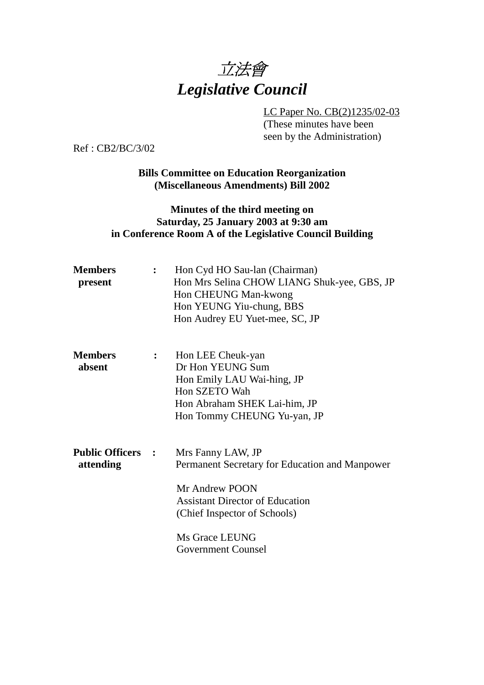

LC Paper No. CB(2)1235/02-03 (These minutes have been seen by the Administration)

Ref : CB2/BC/3/02

**Bills Committee on Education Reorganization (Miscellaneous Amendments) Bill 2002**

## **Minutes of the third meeting on Saturday, 25 January 2003 at 9:30 am in Conference Room A of the Legislative Council Building**

| <b>Members</b><br>present             |              | Hon Cyd HO Sau-lan (Chairman)<br>Hon Mrs Selina CHOW LIANG Shuk-yee, GBS, JP<br>Hon CHEUNG Man-kwong<br>Hon YEUNG Yiu-chung, BBS<br>Hon Audrey EU Yuet-mee, SC, JP                                             |  |
|---------------------------------------|--------------|----------------------------------------------------------------------------------------------------------------------------------------------------------------------------------------------------------------|--|
| <b>Members</b><br>absent              | $\mathbf{L}$ | Hon LEE Cheuk-yan<br>Dr Hon YEUNG Sum<br>Hon Emily LAU Wai-hing, JP<br>Hon SZETO Wah<br>Hon Abraham SHEK Lai-him, JP<br>Hon Tommy CHEUNG Yu-yan, JP                                                            |  |
| <b>Public Officers :</b><br>attending |              | Mrs Fanny LAW, JP<br>Permanent Secretary for Education and Manpower<br>Mr Andrew POON<br><b>Assistant Director of Education</b><br>(Chief Inspector of Schools)<br>Ms Grace LEUNG<br><b>Government Counsel</b> |  |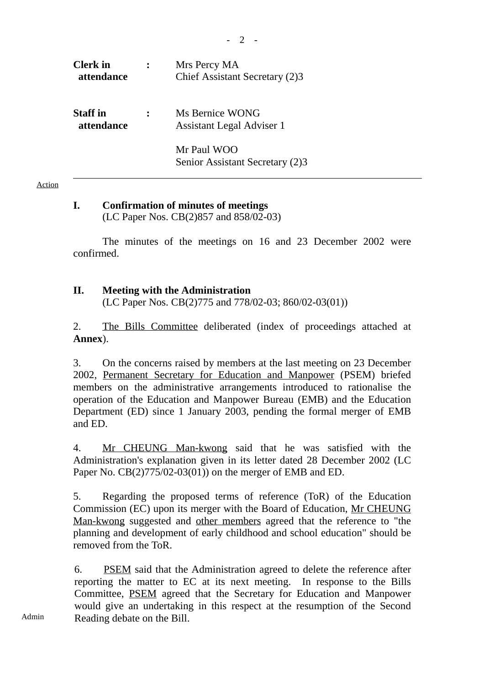| <b>Clerk</b> in<br>attendance | Mrs Percy MA<br>Chief Assistant Secretary (2)3 |
|-------------------------------|------------------------------------------------|
| <b>Staff</b> in<br>attendance | Ms Bernice WONG<br>Assistant Legal Adviser 1   |
|                               | Mr Paul WOO<br>Senior Assistant Secretary (2)3 |

#### Action

### **I. Confirmation of minutes of meetings**

(LC Paper Nos. CB(2)857 and 858/02-03)

The minutes of the meetings on 16 and 23 December 2002 were confirmed.

*-* 2 -

### **II. Meeting with the Administration**

(LC Paper Nos. CB(2)775 and 778/02-03; 860/02-03(01))

2. The Bills Committee deliberated (index of proceedings attached at **Annex**).

3. On the concerns raised by members at the last meeting on 23 December 2002, Permanent Secretary for Education and Manpower (PSEM) briefed members on the administrative arrangements introduced to rationalise the operation of the Education and Manpower Bureau (EMB) and the Education Department (ED) since 1 January 2003, pending the formal merger of EMB and ED.

4. Mr CHEUNG Man-kwong said that he was satisfied with the Administration's explanation given in its letter dated 28 December 2002 (LC Paper No. CB(2)775/02-03(01)) on the merger of EMB and ED.

5. Regarding the proposed terms of reference (ToR) of the Education Commission (EC) upon its merger with the Board of Education, Mr CHEUNG Man-kwong suggested and other members agreed that the reference to "the planning and development of early childhood and school education" should be removed from the ToR.

6. PSEM said that the Administration agreed to delete the reference after reporting the matter to EC at its next meeting. In response to the Bills Committee, PSEM agreed that the Secretary for Education and Manpower would give an undertaking in this respect at the resumption of the Second Reading debate on the Bill.

Admin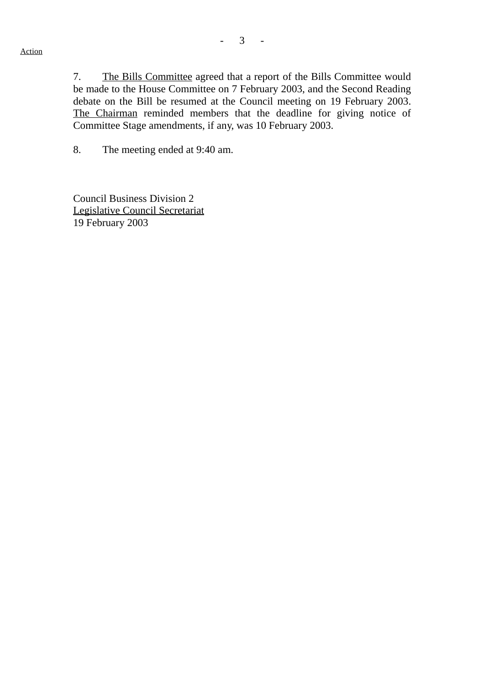7. The Bills Committee agreed that a report of the Bills Committee would be made to the House Committee on 7 February 2003, and the Second Reading debate on the Bill be resumed at the Council meeting on 19 February 2003. The Chairman reminded members that the deadline for giving notice of Committee Stage amendments, if any, was 10 February 2003.

8. The meeting ended at 9:40 am.

Council Business Division 2 Legislative Council Secretariat 19 February 2003